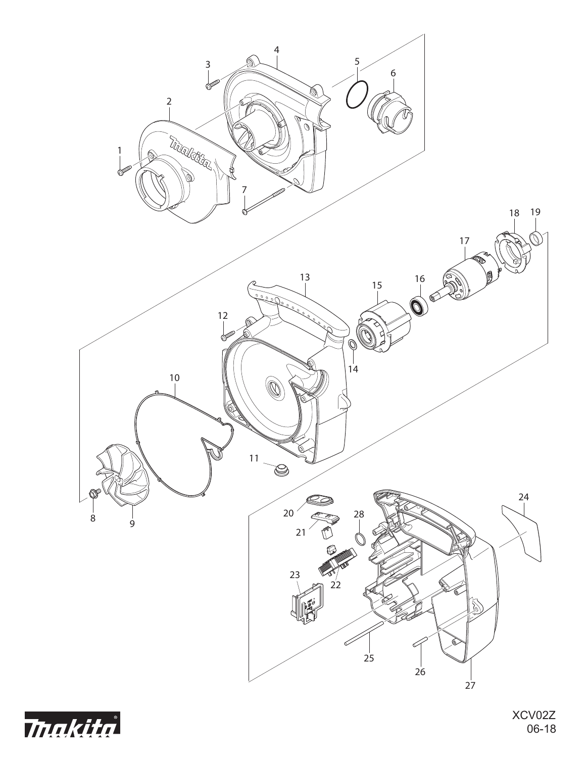